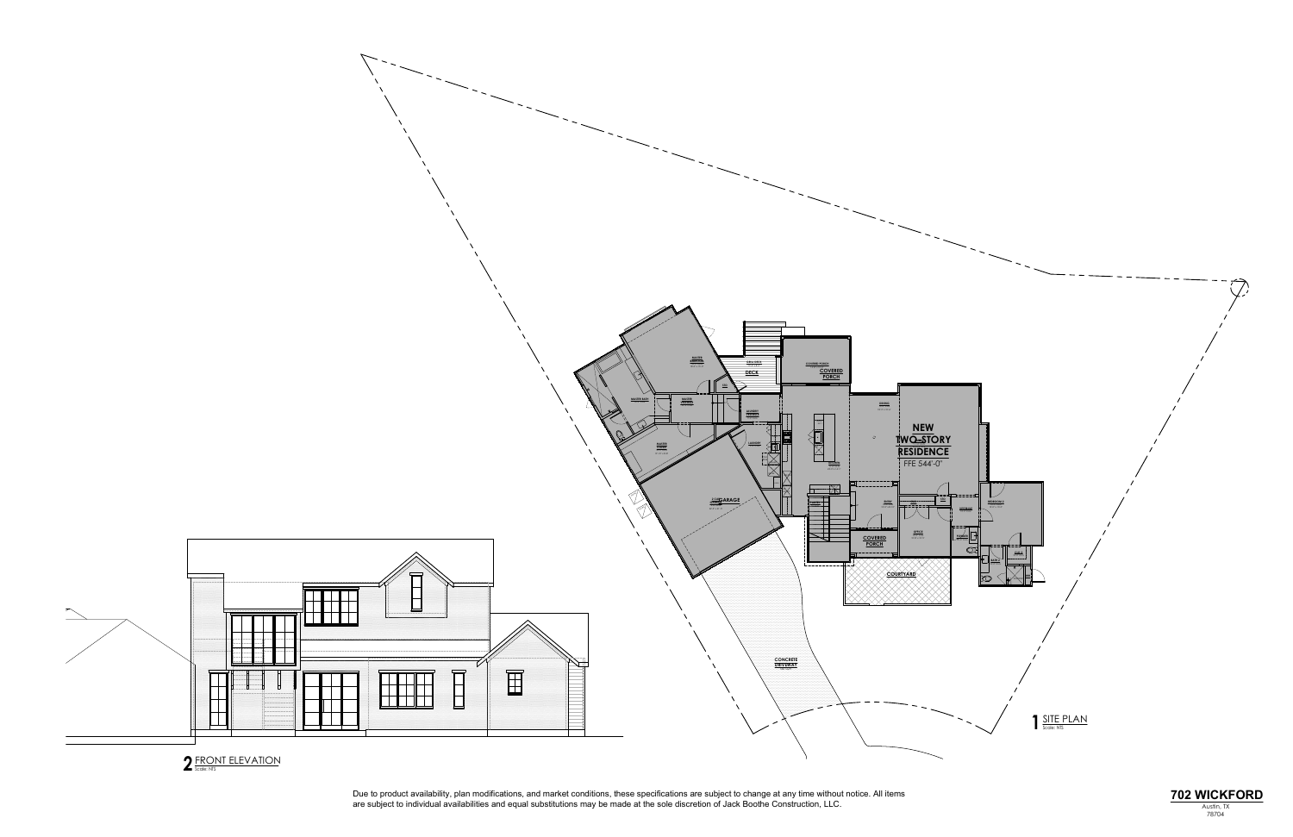

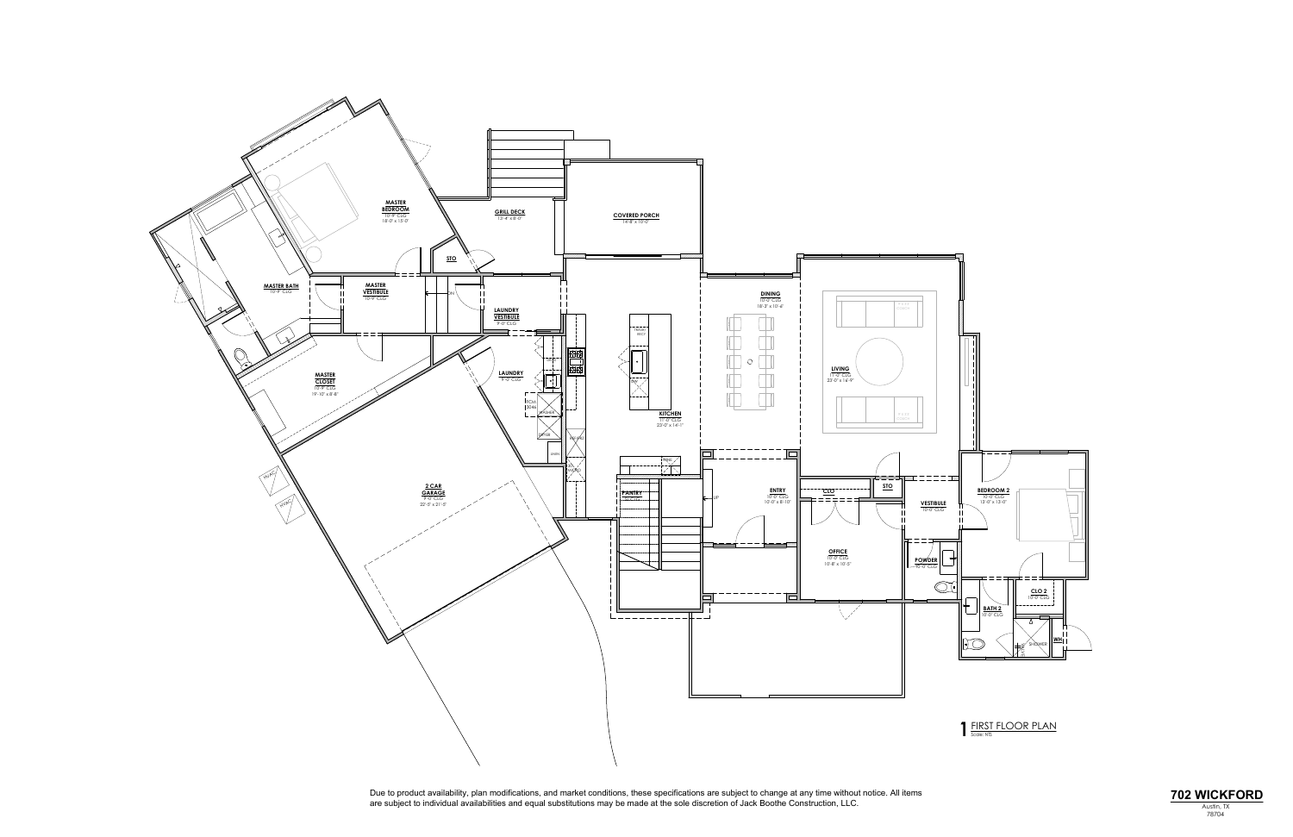

Due to product availability, plan modifications, and market conditions, these specifications are subject to change at any time without notice. All items<br>are subject to individual availabilities and equal substitutions may